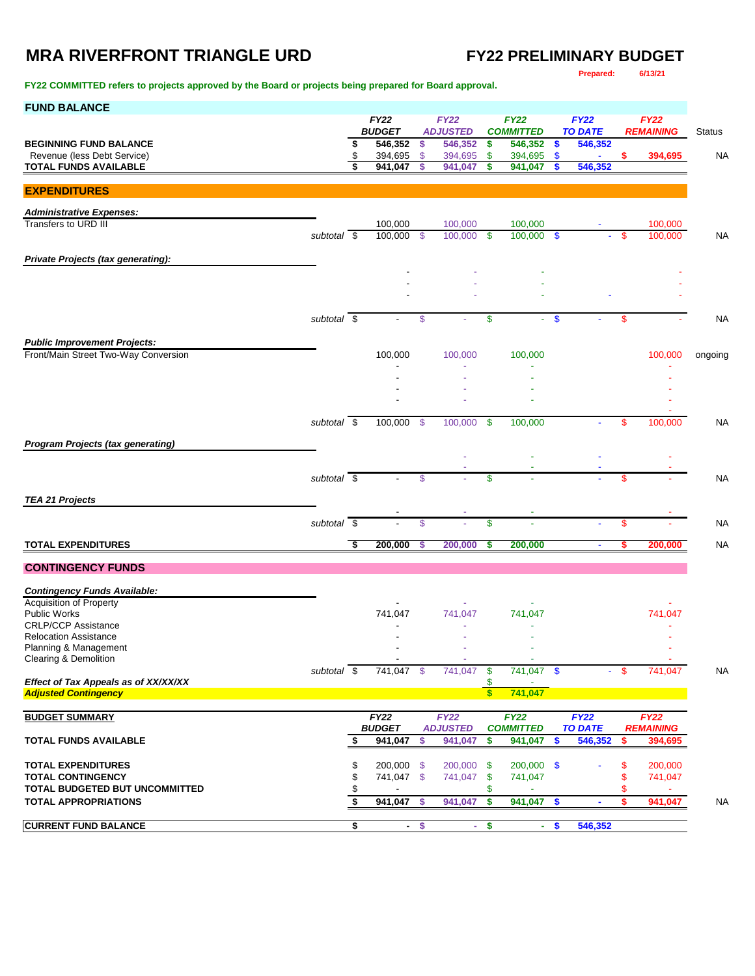## **MRA RIVERFRONT TRIANGLE URD FY22 PRELIMINARY BUDGET**

**FY22 COMMITTED refers to projects approved by the Board or projects being prepared for Board approval.**

**Prepared: 6/13/21**

| <b>FUND BALANCE</b>                                                 |                          |                         |                              |                           |                                |                                 |                    |                           |                               |                                 |                    |               |
|---------------------------------------------------------------------|--------------------------|-------------------------|------------------------------|---------------------------|--------------------------------|---------------------------------|--------------------|---------------------------|-------------------------------|---------------------------------|--------------------|---------------|
|                                                                     |                          |                         | <b>FY22</b><br><b>BUDGET</b> |                           | <b>FY22</b><br><b>ADJUSTED</b> | <b>FY22</b><br><b>COMMITTED</b> |                    |                           | <b>FY22</b><br><b>TO DATE</b> | <b>FY22</b><br><b>REMAINING</b> |                    |               |
| <b>BEGINNING FUND BALANCE</b>                                       |                          | \$                      | 546,352                      | \$                        | 546,352                        | \$                              | 546,352            | \$                        | 546,352                       |                                 |                    | <b>Status</b> |
| Revenue (less Debt Service)                                         |                          | \$                      | 394,695                      | $\boldsymbol{\mathsf{S}}$ | 394,695                        | \$                              | 394,695            | $\boldsymbol{\mathsf{s}}$ |                               | S                               | 394,695            | NA            |
| <b>TOTAL FUNDS AVAILABLE</b>                                        |                          | \$                      | 941,047                      | \$                        | 941,047                        | \$                              | 941,047            | \$                        | 546,352                       |                                 |                    |               |
| <b>EXPENDITURES</b>                                                 |                          |                         |                              |                           |                                |                                 |                    |                           |                               |                                 |                    |               |
|                                                                     |                          |                         |                              |                           |                                |                                 |                    |                           |                               |                                 |                    |               |
| <b>Administrative Expenses:</b>                                     |                          |                         |                              |                           |                                |                                 |                    |                           |                               |                                 |                    |               |
| Transfers to URD III                                                | subtotal                 | $\overline{\mathbf{s}}$ | 100,000<br>100,000           | - \$                      | 100,000<br>100.000             | <b>S</b>                        | 100,000<br>100,000 | $\mathbf{\$}$             |                               | \$                              | 100,000<br>100,000 | <b>NA</b>     |
|                                                                     |                          |                         |                              |                           |                                |                                 |                    |                           |                               |                                 |                    |               |
| Private Projects (tax generating):                                  |                          |                         |                              |                           |                                |                                 |                    |                           |                               |                                 |                    |               |
|                                                                     |                          |                         |                              |                           |                                |                                 |                    |                           |                               |                                 |                    |               |
|                                                                     |                          |                         |                              |                           |                                |                                 |                    |                           |                               |                                 |                    |               |
|                                                                     |                          |                         |                              |                           |                                |                                 |                    |                           |                               |                                 |                    |               |
|                                                                     | subtotal $\overline{\$}$ |                         |                              | \$                        |                                | \$                              |                    | \$                        |                               | \$                              |                    | NA            |
| <b>Public Improvement Projects:</b>                                 |                          |                         |                              |                           |                                |                                 |                    |                           |                               |                                 |                    |               |
| Front/Main Street Two-Way Conversion                                |                          |                         | 100,000                      |                           | 100,000                        |                                 | 100,000            |                           |                               |                                 | 100,000            | ongoing       |
|                                                                     |                          |                         |                              |                           |                                |                                 |                    |                           |                               |                                 |                    |               |
|                                                                     |                          |                         |                              |                           |                                |                                 |                    |                           |                               |                                 |                    |               |
|                                                                     |                          |                         |                              |                           |                                |                                 |                    |                           |                               |                                 |                    |               |
|                                                                     |                          |                         |                              |                           |                                |                                 |                    |                           |                               |                                 |                    |               |
|                                                                     | subtotal \$              |                         | 100,000                      | - \$                      | 100,000                        | \$                              | 100,000            |                           |                               | \$                              | 100,000            | NA            |
| <b>Program Projects (tax generating)</b>                            |                          |                         |                              |                           |                                |                                 |                    |                           |                               |                                 |                    |               |
|                                                                     |                          |                         |                              |                           |                                |                                 |                    |                           |                               |                                 |                    |               |
|                                                                     | subtotal $\overline{\$}$ |                         |                              | \$                        |                                | \$                              |                    |                           |                               | \$                              |                    | <b>NA</b>     |
|                                                                     |                          |                         |                              |                           |                                |                                 |                    |                           |                               |                                 |                    |               |
| <b>TEA 21 Projects</b>                                              |                          |                         |                              |                           |                                |                                 |                    |                           |                               |                                 |                    |               |
|                                                                     | subtotal $\overline{\$}$ |                         |                              | \$                        |                                | \$                              | ä,                 |                           |                               | $\mathsf{\$}$                   |                    | <b>NA</b>     |
|                                                                     |                          |                         |                              |                           |                                |                                 |                    |                           |                               |                                 |                    |               |
| <b>TOTAL EXPENDITURES</b>                                           |                          | Ŝ,                      | 200,000                      | \$                        | 200,000                        | \$                              | 200,000            |                           | $\blacksquare$                | \$                              | 200.000            | <b>NA</b>     |
| <b>CONTINGENCY FUNDS</b>                                            |                          |                         |                              |                           |                                |                                 |                    |                           |                               |                                 |                    |               |
|                                                                     |                          |                         |                              |                           |                                |                                 |                    |                           |                               |                                 |                    |               |
| <b>Contingency Funds Available:</b><br>Acquisition of Property      |                          |                         |                              |                           |                                |                                 |                    |                           |                               |                                 |                    |               |
| <b>Public Works</b>                                                 |                          |                         | 741,047                      |                           | 741,047                        |                                 | 741,047            |                           |                               |                                 | 741,047            |               |
| <b>CRLP/CCP Assistance</b>                                          |                          |                         |                              |                           |                                |                                 |                    |                           |                               |                                 |                    |               |
| <b>Relocation Assistance</b><br>Planning & Management               |                          |                         |                              |                           |                                |                                 |                    |                           |                               |                                 |                    |               |
| Clearing & Demolition                                               |                          |                         |                              |                           |                                |                                 |                    |                           |                               |                                 |                    |               |
|                                                                     | subtotal $\overline{\$}$ |                         | 741,047 \$                   |                           | 741,047                        | $\boldsymbol{\mathsf{s}}$       | 741,047 \$         |                           |                               | -\$                             | 741,047            | <b>NA</b>     |
| Effect of Tax Appeals as of XX/XX/XX<br><b>Adjusted Contingency</b> |                          |                         |                              |                           |                                | \$<br>\$                        | 741,047            |                           |                               |                                 |                    |               |
|                                                                     |                          |                         |                              |                           |                                |                                 |                    |                           |                               |                                 |                    |               |
| <b>BUDGET SUMMARY</b>                                               |                          |                         | FY22                         |                           | FY22                           |                                 | FY22               |                           | FY22                          |                                 | <b>FY22</b>        |               |
|                                                                     |                          |                         | <b>BUDGET</b>                |                           | <b>ADJUSTED</b>                |                                 | <b>COMMITTED</b>   |                           | <b>TO DATE</b>                |                                 | <b>REMAINING</b>   |               |
| <b>TOTAL FUNDS AVAILABLE</b>                                        |                          | \$                      | 941,047                      | \$                        | 941,047                        | \$                              | 941,047            | S.                        | 546,352                       | s.                              | 394,695            |               |
| <b>TOTAL EXPENDITURES</b>                                           |                          | \$                      | 200,000 \$                   |                           | 200,000 \$                     |                                 | 200,000 \$         |                           |                               | S                               | 200,000            |               |
| <b>TOTAL CONTINGENCY</b>                                            |                          | \$                      | 741,047 \$                   |                           | 741,047                        | \$                              | 741,047            |                           |                               |                                 | 741,047            |               |
| TOTAL BUDGETED BUT UNCOMMITTED                                      |                          | \$                      |                              |                           |                                | \$                              | ٠                  |                           |                               | S                               | ×.                 |               |
| <b>TOTAL APPROPRIATIONS</b>                                         |                          | \$                      | 941,047                      | -S                        | 941,047                        | \$                              | 941,047            | -\$                       |                               | S                               | 941,047            | NA            |
| <b>CURRENT FUND BALANCE</b>                                         |                          | \$                      |                              | $-$ \$                    |                                | $-$ \$                          |                    | $-$ \$                    | 546,352                       |                                 |                    |               |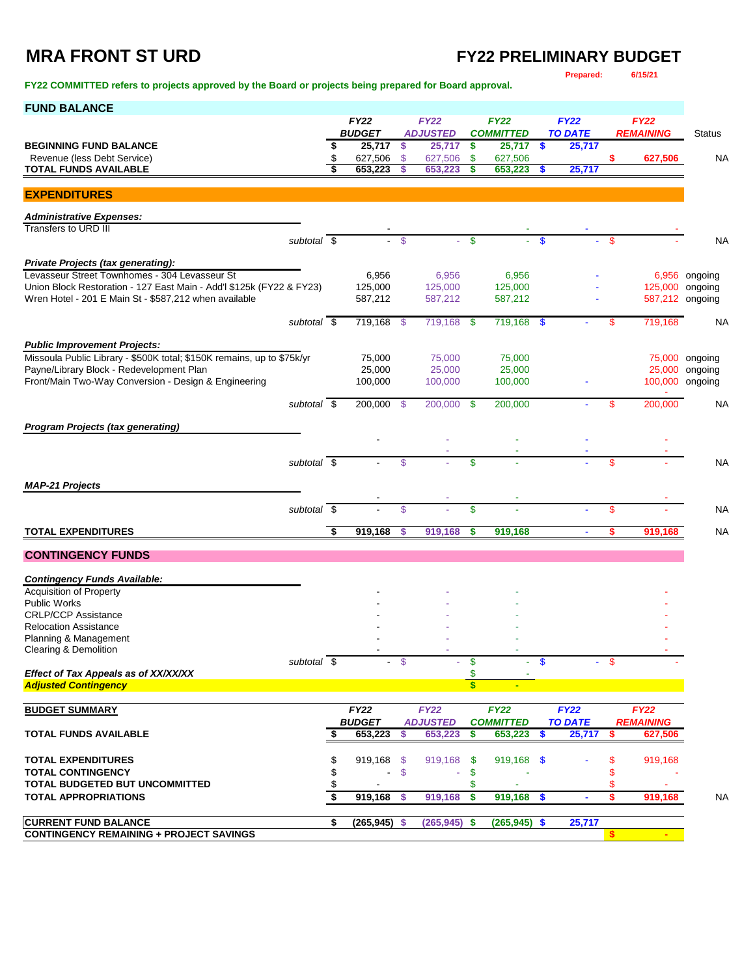# **MRA FRONT ST URD FY22 PRELIMINARY BUDGET**

**FY22 COMMITTED refers to projects approved by the Board or projects being prepared for Board approval.** 

**Prepared: 6/15/21**

| <b>FY22</b><br><b>FY22</b><br><b>FY22</b><br><b>FY22</b><br><b>FY22</b><br><b>BUDGET</b><br><b>ADJUSTED</b><br><b>COMMITTED</b><br><b>TO DATE</b><br><b>REMAINING</b><br><b>Status</b><br>$25,717$ \$<br><b>BEGINNING FUND BALANCE</b><br>\$<br>25,717<br>-\$<br>$25,717$ \$<br>25,717<br>Revenue (less Debt Service)<br>\$<br>627,506<br>627,506<br>627,506<br><b>NA</b><br>$\mathcal{S}$<br>\$<br>627,506<br>\$<br>653,223<br><b>TOTAL FUNDS AVAILABLE</b><br>\$<br>653.223<br>\$<br>653,223<br>\$<br>25,717<br><b>EXPENDITURES</b><br><b>Administrative Expenses:</b><br>Transfers to URD III<br>$\mathbf{\$}$<br>subtotal \$<br>$-5$<br>÷.<br>$\boldsymbol{\mathsf{s}}$<br>\$<br><b>NA</b><br>A.<br><b>Private Projects (tax generating):</b><br>Levasseur Street Townhomes - 304 Levasseur St<br>6,956<br>6,956<br>6,956<br>6,956 ongoing<br>Union Block Restoration - 127 East Main - Add'l \$125k (FY22 & FY23)<br>125,000<br>125,000<br>125,000<br>125,000 ongoing<br>Wren Hotel - 201 E Main St - \$587,212 when available<br>587,212 ongoing<br>587,212<br>587,212<br>587,212<br>subtotal \$<br>719,168<br>719,168<br>719,168 \$<br>719,168 \$<br><b>NA</b><br>\$<br>\$<br><b>Public Improvement Projects:</b><br>Missoula Public Library - \$500K total; \$150K remains, up to \$75k/yr<br>75,000<br>75,000<br>75,000<br>75,000 ongoing<br>Payne/Library Block - Redevelopment Plan<br>25,000<br>25,000<br>25,000<br>25,000 ongoing<br>Front/Main Two-Way Conversion - Design & Engineering<br>100,000 ongoing<br>100,000<br>100,000<br>100,000<br>subtotal \$<br>200,000<br>200,000 \$<br>200,000 \$<br>200,000<br>\$<br>NA<br><b>Program Projects (tax generating)</b><br>subtotal $\overline{\$}$<br>\$<br>\$<br>\$<br><b>NA</b><br><b>MAP-21 Projects</b><br>subtotal $\overline{\$}$<br>\$<br>\$<br>\$<br><b>NA</b><br><b>TOTAL EXPENDITURES</b><br>\$<br>919,168<br>919,168<br><b>NA</b><br>\$<br>919,168<br>\$<br>919,168<br>s<br><b>CONTINGENCY FUNDS</b><br><b>Contingency Funds Available:</b><br><b>Acquisition of Property</b><br><b>Public Works</b><br><b>CRLP/CCP Assistance</b><br><b>Relocation Assistance</b><br>Planning & Management<br>Clearing & Demolition<br>subtotal \$<br>$-$ \$<br>$\mathbf{\$}$<br>$\mathbf{s}$<br>\$<br>÷<br>Effect of Tax Appeals as of XX/XX/XX<br>\$<br>$\overline{\mathbf{s}}$<br><b>Adjusted Contingency</b><br><b>FY22</b><br><b>FY22</b><br>$\overline{FY22}$<br><b>FY22</b><br><b>BUDGET SUMMARY</b><br><b>FY22</b><br><b>BUDGET</b><br><b>TO DATE</b><br><b>ADJUSTED</b><br><b>COMMITTED</b><br><b>REMAINING</b><br><b>TOTAL FUNDS AVAILABLE</b><br>653,223<br>653,223<br>653,223<br>25,717<br>627,506<br>\$<br>S<br>\$<br>S<br>S<br><b>TOTAL EXPENDITURES</b><br>\$<br>919,168 \$<br>919,168<br>919,168 \$<br>\$<br>919,168<br>- \$<br><b>TOTAL CONTINGENCY</b><br>\$<br>$\mathfrak{F}$<br>\$<br>ä,<br><b>TOTAL BUDGETED BUT UNCOMMITTED</b><br>\$<br>S<br>s<br><b>TOTAL APPROPRIATIONS</b><br>919,168<br>919,168<br>S.<br>919,168<br>S<br><b>NA</b><br>- \$<br>\$<br>919,168<br><b>CURRENT FUND BALANCE</b><br>\$<br>25,717<br>$(265, 945)$ \$<br>$(265, 945)$ \$<br>$(265, 945)$ \$<br><b>CONTINGENCY REMAINING + PROJECT SAVINGS</b> | <b>FUND BALANCE</b> |  |  |  |  |  |  |  |
|-----------------------------------------------------------------------------------------------------------------------------------------------------------------------------------------------------------------------------------------------------------------------------------------------------------------------------------------------------------------------------------------------------------------------------------------------------------------------------------------------------------------------------------------------------------------------------------------------------------------------------------------------------------------------------------------------------------------------------------------------------------------------------------------------------------------------------------------------------------------------------------------------------------------------------------------------------------------------------------------------------------------------------------------------------------------------------------------------------------------------------------------------------------------------------------------------------------------------------------------------------------------------------------------------------------------------------------------------------------------------------------------------------------------------------------------------------------------------------------------------------------------------------------------------------------------------------------------------------------------------------------------------------------------------------------------------------------------------------------------------------------------------------------------------------------------------------------------------------------------------------------------------------------------------------------------------------------------------------------------------------------------------------------------------------------------------------------------------------------------------------------------------------------------------------------------------------------------------------------------------------------------------------------------------------------------------------------------------------------------------------------------------------------------------------------------------------------------------------------------------------------------------------------------------------------------------------------------------------------------------------------------------------------------------------------------------------------------------------------------------------------------------------------------------------------------------------------------------------------------------------------------------------------------------------------------------------------------------------------------------------------------------------------------------------------------------------------------------------------------------------------------------------------------------------------------------------------|---------------------|--|--|--|--|--|--|--|
|                                                                                                                                                                                                                                                                                                                                                                                                                                                                                                                                                                                                                                                                                                                                                                                                                                                                                                                                                                                                                                                                                                                                                                                                                                                                                                                                                                                                                                                                                                                                                                                                                                                                                                                                                                                                                                                                                                                                                                                                                                                                                                                                                                                                                                                                                                                                                                                                                                                                                                                                                                                                                                                                                                                                                                                                                                                                                                                                                                                                                                                                                                                                                                                                           |                     |  |  |  |  |  |  |  |
|                                                                                                                                                                                                                                                                                                                                                                                                                                                                                                                                                                                                                                                                                                                                                                                                                                                                                                                                                                                                                                                                                                                                                                                                                                                                                                                                                                                                                                                                                                                                                                                                                                                                                                                                                                                                                                                                                                                                                                                                                                                                                                                                                                                                                                                                                                                                                                                                                                                                                                                                                                                                                                                                                                                                                                                                                                                                                                                                                                                                                                                                                                                                                                                                           |                     |  |  |  |  |  |  |  |
|                                                                                                                                                                                                                                                                                                                                                                                                                                                                                                                                                                                                                                                                                                                                                                                                                                                                                                                                                                                                                                                                                                                                                                                                                                                                                                                                                                                                                                                                                                                                                                                                                                                                                                                                                                                                                                                                                                                                                                                                                                                                                                                                                                                                                                                                                                                                                                                                                                                                                                                                                                                                                                                                                                                                                                                                                                                                                                                                                                                                                                                                                                                                                                                                           |                     |  |  |  |  |  |  |  |
|                                                                                                                                                                                                                                                                                                                                                                                                                                                                                                                                                                                                                                                                                                                                                                                                                                                                                                                                                                                                                                                                                                                                                                                                                                                                                                                                                                                                                                                                                                                                                                                                                                                                                                                                                                                                                                                                                                                                                                                                                                                                                                                                                                                                                                                                                                                                                                                                                                                                                                                                                                                                                                                                                                                                                                                                                                                                                                                                                                                                                                                                                                                                                                                                           |                     |  |  |  |  |  |  |  |
|                                                                                                                                                                                                                                                                                                                                                                                                                                                                                                                                                                                                                                                                                                                                                                                                                                                                                                                                                                                                                                                                                                                                                                                                                                                                                                                                                                                                                                                                                                                                                                                                                                                                                                                                                                                                                                                                                                                                                                                                                                                                                                                                                                                                                                                                                                                                                                                                                                                                                                                                                                                                                                                                                                                                                                                                                                                                                                                                                                                                                                                                                                                                                                                                           |                     |  |  |  |  |  |  |  |
|                                                                                                                                                                                                                                                                                                                                                                                                                                                                                                                                                                                                                                                                                                                                                                                                                                                                                                                                                                                                                                                                                                                                                                                                                                                                                                                                                                                                                                                                                                                                                                                                                                                                                                                                                                                                                                                                                                                                                                                                                                                                                                                                                                                                                                                                                                                                                                                                                                                                                                                                                                                                                                                                                                                                                                                                                                                                                                                                                                                                                                                                                                                                                                                                           |                     |  |  |  |  |  |  |  |
|                                                                                                                                                                                                                                                                                                                                                                                                                                                                                                                                                                                                                                                                                                                                                                                                                                                                                                                                                                                                                                                                                                                                                                                                                                                                                                                                                                                                                                                                                                                                                                                                                                                                                                                                                                                                                                                                                                                                                                                                                                                                                                                                                                                                                                                                                                                                                                                                                                                                                                                                                                                                                                                                                                                                                                                                                                                                                                                                                                                                                                                                                                                                                                                                           |                     |  |  |  |  |  |  |  |
|                                                                                                                                                                                                                                                                                                                                                                                                                                                                                                                                                                                                                                                                                                                                                                                                                                                                                                                                                                                                                                                                                                                                                                                                                                                                                                                                                                                                                                                                                                                                                                                                                                                                                                                                                                                                                                                                                                                                                                                                                                                                                                                                                                                                                                                                                                                                                                                                                                                                                                                                                                                                                                                                                                                                                                                                                                                                                                                                                                                                                                                                                                                                                                                                           |                     |  |  |  |  |  |  |  |
|                                                                                                                                                                                                                                                                                                                                                                                                                                                                                                                                                                                                                                                                                                                                                                                                                                                                                                                                                                                                                                                                                                                                                                                                                                                                                                                                                                                                                                                                                                                                                                                                                                                                                                                                                                                                                                                                                                                                                                                                                                                                                                                                                                                                                                                                                                                                                                                                                                                                                                                                                                                                                                                                                                                                                                                                                                                                                                                                                                                                                                                                                                                                                                                                           |                     |  |  |  |  |  |  |  |
|                                                                                                                                                                                                                                                                                                                                                                                                                                                                                                                                                                                                                                                                                                                                                                                                                                                                                                                                                                                                                                                                                                                                                                                                                                                                                                                                                                                                                                                                                                                                                                                                                                                                                                                                                                                                                                                                                                                                                                                                                                                                                                                                                                                                                                                                                                                                                                                                                                                                                                                                                                                                                                                                                                                                                                                                                                                                                                                                                                                                                                                                                                                                                                                                           |                     |  |  |  |  |  |  |  |
|                                                                                                                                                                                                                                                                                                                                                                                                                                                                                                                                                                                                                                                                                                                                                                                                                                                                                                                                                                                                                                                                                                                                                                                                                                                                                                                                                                                                                                                                                                                                                                                                                                                                                                                                                                                                                                                                                                                                                                                                                                                                                                                                                                                                                                                                                                                                                                                                                                                                                                                                                                                                                                                                                                                                                                                                                                                                                                                                                                                                                                                                                                                                                                                                           |                     |  |  |  |  |  |  |  |
|                                                                                                                                                                                                                                                                                                                                                                                                                                                                                                                                                                                                                                                                                                                                                                                                                                                                                                                                                                                                                                                                                                                                                                                                                                                                                                                                                                                                                                                                                                                                                                                                                                                                                                                                                                                                                                                                                                                                                                                                                                                                                                                                                                                                                                                                                                                                                                                                                                                                                                                                                                                                                                                                                                                                                                                                                                                                                                                                                                                                                                                                                                                                                                                                           |                     |  |  |  |  |  |  |  |
|                                                                                                                                                                                                                                                                                                                                                                                                                                                                                                                                                                                                                                                                                                                                                                                                                                                                                                                                                                                                                                                                                                                                                                                                                                                                                                                                                                                                                                                                                                                                                                                                                                                                                                                                                                                                                                                                                                                                                                                                                                                                                                                                                                                                                                                                                                                                                                                                                                                                                                                                                                                                                                                                                                                                                                                                                                                                                                                                                                                                                                                                                                                                                                                                           |                     |  |  |  |  |  |  |  |
|                                                                                                                                                                                                                                                                                                                                                                                                                                                                                                                                                                                                                                                                                                                                                                                                                                                                                                                                                                                                                                                                                                                                                                                                                                                                                                                                                                                                                                                                                                                                                                                                                                                                                                                                                                                                                                                                                                                                                                                                                                                                                                                                                                                                                                                                                                                                                                                                                                                                                                                                                                                                                                                                                                                                                                                                                                                                                                                                                                                                                                                                                                                                                                                                           |                     |  |  |  |  |  |  |  |
|                                                                                                                                                                                                                                                                                                                                                                                                                                                                                                                                                                                                                                                                                                                                                                                                                                                                                                                                                                                                                                                                                                                                                                                                                                                                                                                                                                                                                                                                                                                                                                                                                                                                                                                                                                                                                                                                                                                                                                                                                                                                                                                                                                                                                                                                                                                                                                                                                                                                                                                                                                                                                                                                                                                                                                                                                                                                                                                                                                                                                                                                                                                                                                                                           |                     |  |  |  |  |  |  |  |
|                                                                                                                                                                                                                                                                                                                                                                                                                                                                                                                                                                                                                                                                                                                                                                                                                                                                                                                                                                                                                                                                                                                                                                                                                                                                                                                                                                                                                                                                                                                                                                                                                                                                                                                                                                                                                                                                                                                                                                                                                                                                                                                                                                                                                                                                                                                                                                                                                                                                                                                                                                                                                                                                                                                                                                                                                                                                                                                                                                                                                                                                                                                                                                                                           |                     |  |  |  |  |  |  |  |
|                                                                                                                                                                                                                                                                                                                                                                                                                                                                                                                                                                                                                                                                                                                                                                                                                                                                                                                                                                                                                                                                                                                                                                                                                                                                                                                                                                                                                                                                                                                                                                                                                                                                                                                                                                                                                                                                                                                                                                                                                                                                                                                                                                                                                                                                                                                                                                                                                                                                                                                                                                                                                                                                                                                                                                                                                                                                                                                                                                                                                                                                                                                                                                                                           |                     |  |  |  |  |  |  |  |
|                                                                                                                                                                                                                                                                                                                                                                                                                                                                                                                                                                                                                                                                                                                                                                                                                                                                                                                                                                                                                                                                                                                                                                                                                                                                                                                                                                                                                                                                                                                                                                                                                                                                                                                                                                                                                                                                                                                                                                                                                                                                                                                                                                                                                                                                                                                                                                                                                                                                                                                                                                                                                                                                                                                                                                                                                                                                                                                                                                                                                                                                                                                                                                                                           |                     |  |  |  |  |  |  |  |
|                                                                                                                                                                                                                                                                                                                                                                                                                                                                                                                                                                                                                                                                                                                                                                                                                                                                                                                                                                                                                                                                                                                                                                                                                                                                                                                                                                                                                                                                                                                                                                                                                                                                                                                                                                                                                                                                                                                                                                                                                                                                                                                                                                                                                                                                                                                                                                                                                                                                                                                                                                                                                                                                                                                                                                                                                                                                                                                                                                                                                                                                                                                                                                                                           |                     |  |  |  |  |  |  |  |
|                                                                                                                                                                                                                                                                                                                                                                                                                                                                                                                                                                                                                                                                                                                                                                                                                                                                                                                                                                                                                                                                                                                                                                                                                                                                                                                                                                                                                                                                                                                                                                                                                                                                                                                                                                                                                                                                                                                                                                                                                                                                                                                                                                                                                                                                                                                                                                                                                                                                                                                                                                                                                                                                                                                                                                                                                                                                                                                                                                                                                                                                                                                                                                                                           |                     |  |  |  |  |  |  |  |
|                                                                                                                                                                                                                                                                                                                                                                                                                                                                                                                                                                                                                                                                                                                                                                                                                                                                                                                                                                                                                                                                                                                                                                                                                                                                                                                                                                                                                                                                                                                                                                                                                                                                                                                                                                                                                                                                                                                                                                                                                                                                                                                                                                                                                                                                                                                                                                                                                                                                                                                                                                                                                                                                                                                                                                                                                                                                                                                                                                                                                                                                                                                                                                                                           |                     |  |  |  |  |  |  |  |
|                                                                                                                                                                                                                                                                                                                                                                                                                                                                                                                                                                                                                                                                                                                                                                                                                                                                                                                                                                                                                                                                                                                                                                                                                                                                                                                                                                                                                                                                                                                                                                                                                                                                                                                                                                                                                                                                                                                                                                                                                                                                                                                                                                                                                                                                                                                                                                                                                                                                                                                                                                                                                                                                                                                                                                                                                                                                                                                                                                                                                                                                                                                                                                                                           |                     |  |  |  |  |  |  |  |
|                                                                                                                                                                                                                                                                                                                                                                                                                                                                                                                                                                                                                                                                                                                                                                                                                                                                                                                                                                                                                                                                                                                                                                                                                                                                                                                                                                                                                                                                                                                                                                                                                                                                                                                                                                                                                                                                                                                                                                                                                                                                                                                                                                                                                                                                                                                                                                                                                                                                                                                                                                                                                                                                                                                                                                                                                                                                                                                                                                                                                                                                                                                                                                                                           |                     |  |  |  |  |  |  |  |
|                                                                                                                                                                                                                                                                                                                                                                                                                                                                                                                                                                                                                                                                                                                                                                                                                                                                                                                                                                                                                                                                                                                                                                                                                                                                                                                                                                                                                                                                                                                                                                                                                                                                                                                                                                                                                                                                                                                                                                                                                                                                                                                                                                                                                                                                                                                                                                                                                                                                                                                                                                                                                                                                                                                                                                                                                                                                                                                                                                                                                                                                                                                                                                                                           |                     |  |  |  |  |  |  |  |
|                                                                                                                                                                                                                                                                                                                                                                                                                                                                                                                                                                                                                                                                                                                                                                                                                                                                                                                                                                                                                                                                                                                                                                                                                                                                                                                                                                                                                                                                                                                                                                                                                                                                                                                                                                                                                                                                                                                                                                                                                                                                                                                                                                                                                                                                                                                                                                                                                                                                                                                                                                                                                                                                                                                                                                                                                                                                                                                                                                                                                                                                                                                                                                                                           |                     |  |  |  |  |  |  |  |
|                                                                                                                                                                                                                                                                                                                                                                                                                                                                                                                                                                                                                                                                                                                                                                                                                                                                                                                                                                                                                                                                                                                                                                                                                                                                                                                                                                                                                                                                                                                                                                                                                                                                                                                                                                                                                                                                                                                                                                                                                                                                                                                                                                                                                                                                                                                                                                                                                                                                                                                                                                                                                                                                                                                                                                                                                                                                                                                                                                                                                                                                                                                                                                                                           |                     |  |  |  |  |  |  |  |
|                                                                                                                                                                                                                                                                                                                                                                                                                                                                                                                                                                                                                                                                                                                                                                                                                                                                                                                                                                                                                                                                                                                                                                                                                                                                                                                                                                                                                                                                                                                                                                                                                                                                                                                                                                                                                                                                                                                                                                                                                                                                                                                                                                                                                                                                                                                                                                                                                                                                                                                                                                                                                                                                                                                                                                                                                                                                                                                                                                                                                                                                                                                                                                                                           |                     |  |  |  |  |  |  |  |
|                                                                                                                                                                                                                                                                                                                                                                                                                                                                                                                                                                                                                                                                                                                                                                                                                                                                                                                                                                                                                                                                                                                                                                                                                                                                                                                                                                                                                                                                                                                                                                                                                                                                                                                                                                                                                                                                                                                                                                                                                                                                                                                                                                                                                                                                                                                                                                                                                                                                                                                                                                                                                                                                                                                                                                                                                                                                                                                                                                                                                                                                                                                                                                                                           |                     |  |  |  |  |  |  |  |
|                                                                                                                                                                                                                                                                                                                                                                                                                                                                                                                                                                                                                                                                                                                                                                                                                                                                                                                                                                                                                                                                                                                                                                                                                                                                                                                                                                                                                                                                                                                                                                                                                                                                                                                                                                                                                                                                                                                                                                                                                                                                                                                                                                                                                                                                                                                                                                                                                                                                                                                                                                                                                                                                                                                                                                                                                                                                                                                                                                                                                                                                                                                                                                                                           |                     |  |  |  |  |  |  |  |
|                                                                                                                                                                                                                                                                                                                                                                                                                                                                                                                                                                                                                                                                                                                                                                                                                                                                                                                                                                                                                                                                                                                                                                                                                                                                                                                                                                                                                                                                                                                                                                                                                                                                                                                                                                                                                                                                                                                                                                                                                                                                                                                                                                                                                                                                                                                                                                                                                                                                                                                                                                                                                                                                                                                                                                                                                                                                                                                                                                                                                                                                                                                                                                                                           |                     |  |  |  |  |  |  |  |
|                                                                                                                                                                                                                                                                                                                                                                                                                                                                                                                                                                                                                                                                                                                                                                                                                                                                                                                                                                                                                                                                                                                                                                                                                                                                                                                                                                                                                                                                                                                                                                                                                                                                                                                                                                                                                                                                                                                                                                                                                                                                                                                                                                                                                                                                                                                                                                                                                                                                                                                                                                                                                                                                                                                                                                                                                                                                                                                                                                                                                                                                                                                                                                                                           |                     |  |  |  |  |  |  |  |
|                                                                                                                                                                                                                                                                                                                                                                                                                                                                                                                                                                                                                                                                                                                                                                                                                                                                                                                                                                                                                                                                                                                                                                                                                                                                                                                                                                                                                                                                                                                                                                                                                                                                                                                                                                                                                                                                                                                                                                                                                                                                                                                                                                                                                                                                                                                                                                                                                                                                                                                                                                                                                                                                                                                                                                                                                                                                                                                                                                                                                                                                                                                                                                                                           |                     |  |  |  |  |  |  |  |
|                                                                                                                                                                                                                                                                                                                                                                                                                                                                                                                                                                                                                                                                                                                                                                                                                                                                                                                                                                                                                                                                                                                                                                                                                                                                                                                                                                                                                                                                                                                                                                                                                                                                                                                                                                                                                                                                                                                                                                                                                                                                                                                                                                                                                                                                                                                                                                                                                                                                                                                                                                                                                                                                                                                                                                                                                                                                                                                                                                                                                                                                                                                                                                                                           |                     |  |  |  |  |  |  |  |
|                                                                                                                                                                                                                                                                                                                                                                                                                                                                                                                                                                                                                                                                                                                                                                                                                                                                                                                                                                                                                                                                                                                                                                                                                                                                                                                                                                                                                                                                                                                                                                                                                                                                                                                                                                                                                                                                                                                                                                                                                                                                                                                                                                                                                                                                                                                                                                                                                                                                                                                                                                                                                                                                                                                                                                                                                                                                                                                                                                                                                                                                                                                                                                                                           |                     |  |  |  |  |  |  |  |
|                                                                                                                                                                                                                                                                                                                                                                                                                                                                                                                                                                                                                                                                                                                                                                                                                                                                                                                                                                                                                                                                                                                                                                                                                                                                                                                                                                                                                                                                                                                                                                                                                                                                                                                                                                                                                                                                                                                                                                                                                                                                                                                                                                                                                                                                                                                                                                                                                                                                                                                                                                                                                                                                                                                                                                                                                                                                                                                                                                                                                                                                                                                                                                                                           |                     |  |  |  |  |  |  |  |
|                                                                                                                                                                                                                                                                                                                                                                                                                                                                                                                                                                                                                                                                                                                                                                                                                                                                                                                                                                                                                                                                                                                                                                                                                                                                                                                                                                                                                                                                                                                                                                                                                                                                                                                                                                                                                                                                                                                                                                                                                                                                                                                                                                                                                                                                                                                                                                                                                                                                                                                                                                                                                                                                                                                                                                                                                                                                                                                                                                                                                                                                                                                                                                                                           |                     |  |  |  |  |  |  |  |
|                                                                                                                                                                                                                                                                                                                                                                                                                                                                                                                                                                                                                                                                                                                                                                                                                                                                                                                                                                                                                                                                                                                                                                                                                                                                                                                                                                                                                                                                                                                                                                                                                                                                                                                                                                                                                                                                                                                                                                                                                                                                                                                                                                                                                                                                                                                                                                                                                                                                                                                                                                                                                                                                                                                                                                                                                                                                                                                                                                                                                                                                                                                                                                                                           |                     |  |  |  |  |  |  |  |
|                                                                                                                                                                                                                                                                                                                                                                                                                                                                                                                                                                                                                                                                                                                                                                                                                                                                                                                                                                                                                                                                                                                                                                                                                                                                                                                                                                                                                                                                                                                                                                                                                                                                                                                                                                                                                                                                                                                                                                                                                                                                                                                                                                                                                                                                                                                                                                                                                                                                                                                                                                                                                                                                                                                                                                                                                                                                                                                                                                                                                                                                                                                                                                                                           |                     |  |  |  |  |  |  |  |
|                                                                                                                                                                                                                                                                                                                                                                                                                                                                                                                                                                                                                                                                                                                                                                                                                                                                                                                                                                                                                                                                                                                                                                                                                                                                                                                                                                                                                                                                                                                                                                                                                                                                                                                                                                                                                                                                                                                                                                                                                                                                                                                                                                                                                                                                                                                                                                                                                                                                                                                                                                                                                                                                                                                                                                                                                                                                                                                                                                                                                                                                                                                                                                                                           |                     |  |  |  |  |  |  |  |
|                                                                                                                                                                                                                                                                                                                                                                                                                                                                                                                                                                                                                                                                                                                                                                                                                                                                                                                                                                                                                                                                                                                                                                                                                                                                                                                                                                                                                                                                                                                                                                                                                                                                                                                                                                                                                                                                                                                                                                                                                                                                                                                                                                                                                                                                                                                                                                                                                                                                                                                                                                                                                                                                                                                                                                                                                                                                                                                                                                                                                                                                                                                                                                                                           |                     |  |  |  |  |  |  |  |
|                                                                                                                                                                                                                                                                                                                                                                                                                                                                                                                                                                                                                                                                                                                                                                                                                                                                                                                                                                                                                                                                                                                                                                                                                                                                                                                                                                                                                                                                                                                                                                                                                                                                                                                                                                                                                                                                                                                                                                                                                                                                                                                                                                                                                                                                                                                                                                                                                                                                                                                                                                                                                                                                                                                                                                                                                                                                                                                                                                                                                                                                                                                                                                                                           |                     |  |  |  |  |  |  |  |
|                                                                                                                                                                                                                                                                                                                                                                                                                                                                                                                                                                                                                                                                                                                                                                                                                                                                                                                                                                                                                                                                                                                                                                                                                                                                                                                                                                                                                                                                                                                                                                                                                                                                                                                                                                                                                                                                                                                                                                                                                                                                                                                                                                                                                                                                                                                                                                                                                                                                                                                                                                                                                                                                                                                                                                                                                                                                                                                                                                                                                                                                                                                                                                                                           |                     |  |  |  |  |  |  |  |
|                                                                                                                                                                                                                                                                                                                                                                                                                                                                                                                                                                                                                                                                                                                                                                                                                                                                                                                                                                                                                                                                                                                                                                                                                                                                                                                                                                                                                                                                                                                                                                                                                                                                                                                                                                                                                                                                                                                                                                                                                                                                                                                                                                                                                                                                                                                                                                                                                                                                                                                                                                                                                                                                                                                                                                                                                                                                                                                                                                                                                                                                                                                                                                                                           |                     |  |  |  |  |  |  |  |
|                                                                                                                                                                                                                                                                                                                                                                                                                                                                                                                                                                                                                                                                                                                                                                                                                                                                                                                                                                                                                                                                                                                                                                                                                                                                                                                                                                                                                                                                                                                                                                                                                                                                                                                                                                                                                                                                                                                                                                                                                                                                                                                                                                                                                                                                                                                                                                                                                                                                                                                                                                                                                                                                                                                                                                                                                                                                                                                                                                                                                                                                                                                                                                                                           |                     |  |  |  |  |  |  |  |
|                                                                                                                                                                                                                                                                                                                                                                                                                                                                                                                                                                                                                                                                                                                                                                                                                                                                                                                                                                                                                                                                                                                                                                                                                                                                                                                                                                                                                                                                                                                                                                                                                                                                                                                                                                                                                                                                                                                                                                                                                                                                                                                                                                                                                                                                                                                                                                                                                                                                                                                                                                                                                                                                                                                                                                                                                                                                                                                                                                                                                                                                                                                                                                                                           |                     |  |  |  |  |  |  |  |
|                                                                                                                                                                                                                                                                                                                                                                                                                                                                                                                                                                                                                                                                                                                                                                                                                                                                                                                                                                                                                                                                                                                                                                                                                                                                                                                                                                                                                                                                                                                                                                                                                                                                                                                                                                                                                                                                                                                                                                                                                                                                                                                                                                                                                                                                                                                                                                                                                                                                                                                                                                                                                                                                                                                                                                                                                                                                                                                                                                                                                                                                                                                                                                                                           |                     |  |  |  |  |  |  |  |
|                                                                                                                                                                                                                                                                                                                                                                                                                                                                                                                                                                                                                                                                                                                                                                                                                                                                                                                                                                                                                                                                                                                                                                                                                                                                                                                                                                                                                                                                                                                                                                                                                                                                                                                                                                                                                                                                                                                                                                                                                                                                                                                                                                                                                                                                                                                                                                                                                                                                                                                                                                                                                                                                                                                                                                                                                                                                                                                                                                                                                                                                                                                                                                                                           |                     |  |  |  |  |  |  |  |
|                                                                                                                                                                                                                                                                                                                                                                                                                                                                                                                                                                                                                                                                                                                                                                                                                                                                                                                                                                                                                                                                                                                                                                                                                                                                                                                                                                                                                                                                                                                                                                                                                                                                                                                                                                                                                                                                                                                                                                                                                                                                                                                                                                                                                                                                                                                                                                                                                                                                                                                                                                                                                                                                                                                                                                                                                                                                                                                                                                                                                                                                                                                                                                                                           |                     |  |  |  |  |  |  |  |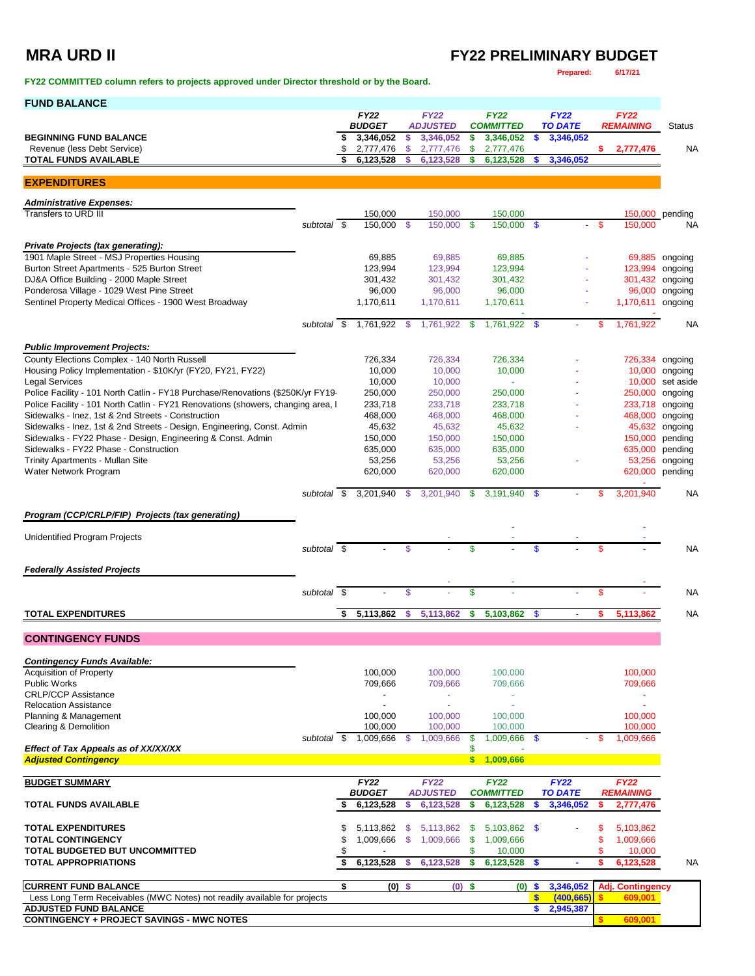### **MRA URD II FY22 PRELIMINARY BUDGET Prepared: 6/17/21**

**FY22 COMMITTED column refers to projects approved under Director threshold or by the Board.** 

| <b>FUND BALANCE</b>                                                                                  |                          |          |                              |                |                                |          |                                     |               |                               |      |                                 |                    |
|------------------------------------------------------------------------------------------------------|--------------------------|----------|------------------------------|----------------|--------------------------------|----------|-------------------------------------|---------------|-------------------------------|------|---------------------------------|--------------------|
|                                                                                                      |                          |          | <b>FY22</b><br><b>BUDGET</b> |                | <b>FY22</b><br><b>ADJUSTED</b> |          | <b>FY22</b><br><b>COMMITTED</b>     |               | <b>FY22</b><br><b>TO DATE</b> |      | <b>FY22</b><br><b>REMAINING</b> | <b>Status</b>      |
| <b>BEGINNING FUND BALANCE</b>                                                                        |                          | \$       | 3,346,052                    | -\$            | 3,346,052                      | \$       | 3,346,052                           | $\sqrt[6]{3}$ | 3,346,052                     |      |                                 |                    |
| Revenue (less Debt Service)                                                                          |                          | \$       | 2,777,476                    | $\mathfrak{S}$ | 2,777,476                      | \$       | 2,777,476                           |               |                               | \$.  | 2,777,476                       | NA                 |
| <b>TOTAL FUNDS AVAILABLE</b>                                                                         |                          |          | 6,123,528                    | \$             | 6,123,528                      | \$       | 6,123,528                           |               | 3,346,052                     |      |                                 |                    |
| <b>EXPENDITURES</b>                                                                                  |                          |          |                              |                |                                |          |                                     |               |                               |      |                                 |                    |
|                                                                                                      |                          |          |                              |                |                                |          |                                     |               |                               |      |                                 |                    |
| <b>Administrative Expenses:</b>                                                                      |                          |          |                              |                |                                |          |                                     |               |                               |      |                                 |                    |
| Transfers to URD III                                                                                 | subtotal \$              |          | 150,000<br>150.000 \$        |                | 150,000<br>150.000             | - \$     | 150,000<br>150,000                  | - \$          |                               | -\$  | 150,000 pending<br>150,000      | NA                 |
|                                                                                                      |                          |          |                              |                |                                |          |                                     |               |                               |      |                                 |                    |
| <b>Private Projects (tax generating):</b>                                                            |                          |          |                              |                |                                |          |                                     |               |                               |      |                                 |                    |
| 1901 Maple Street - MSJ Properties Housing                                                           |                          |          | 69,885                       |                | 69,885                         |          | 69,885                              |               |                               |      |                                 | 69,885 ongoing     |
| Burton Street Apartments - 525 Burton Street<br>DJ&A Office Building - 2000 Maple Street             |                          |          | 123,994<br>301,432           |                | 123,994<br>301,432             |          | 123,994<br>301,432                  |               |                               |      | 123,994<br>301,432              | ongoing<br>ongoing |
| Ponderosa Village - 1029 West Pine Street                                                            |                          |          | 96,000                       |                | 96,000                         |          | 96,000                              |               |                               |      | 96,000                          | ongoing            |
| Sentinel Property Medical Offices - 1900 West Broadway                                               |                          |          | 1,170,611                    |                | 1,170,611                      |          | 1,170,611                           |               |                               |      | 1,170,611 ongoing               |                    |
|                                                                                                      |                          |          |                              |                |                                |          |                                     |               |                               |      |                                 |                    |
|                                                                                                      | subtotal \$              |          | 1,761,922 \$                 |                | 1,761,922 \$                   |          | 1,761,922 \$                        |               |                               | -S   | 1,761,922                       | <b>NA</b>          |
| <b>Public Improvement Projects:</b>                                                                  |                          |          |                              |                |                                |          |                                     |               |                               |      |                                 |                    |
| County Elections Complex - 140 North Russell                                                         |                          |          | 726,334                      |                | 726,334                        |          | 726,334                             |               |                               |      | 726,334 ongoing                 |                    |
| Housing Policy Implementation - \$10K/yr (FY20, FY21, FY22)                                          |                          |          | 10,000                       |                | 10,000                         |          | 10,000                              |               |                               |      |                                 | 10,000 ongoing     |
| <b>Legal Services</b>                                                                                |                          |          | 10,000                       |                | 10,000                         |          |                                     |               |                               |      |                                 | 10,000 set aside   |
| Police Facility - 101 North Catlin - FY18 Purchase/Renovations (\$250K/yr FY19                       |                          |          | 250,000                      |                | 250,000                        |          | 250,000                             |               |                               |      | 250,000 ongoing                 |                    |
| Police Facility - 101 North Catlin - FY21 Renovations (showers, changing area, I                     |                          |          | 233.718                      |                | 233,718                        |          | 233,718                             |               |                               |      | 233,718 ongoing                 |                    |
| Sidewalks - Inez, 1st & 2nd Streets - Construction                                                   |                          |          | 468,000                      |                | 468.000                        |          | 468,000                             |               |                               |      | 468,000 ongoing                 |                    |
| Sidewalks - Inez, 1st & 2nd Streets - Design, Engineering, Const. Admin                              |                          |          | 45,632                       |                | 45,632                         |          | 45,632                              |               |                               |      |                                 | 45,632 ongoing     |
| Sidewalks - FY22 Phase - Design, Engineering & Const. Admin<br>Sidewalks - FY22 Phase - Construction |                          |          | 150,000<br>635,000           |                | 150,000<br>635,000             |          | 150,000<br>635,000                  |               |                               |      | 150,000<br>635,000              | pending<br>pending |
| Trinity Apartments - Mullan Site                                                                     |                          |          | 53,256                       |                | 53,256                         |          | 53,256                              |               |                               |      |                                 | 53,256 ongoing     |
| Water Network Program                                                                                |                          |          | 620,000                      |                | 620,000                        |          | 620,000                             |               |                               |      | 620,000 pending                 |                    |
|                                                                                                      |                          |          |                              |                |                                |          |                                     |               |                               |      |                                 |                    |
|                                                                                                      | subtotal \$              |          | 3,201,940                    | $\mathcal{S}$  | 3,201,940                      | \$       | 3,191,940                           | \$            |                               |      | 3,201,940                       | <b>NA</b>          |
| Program (CCP/CRLP/FIP) Projects (tax generating)                                                     |                          |          |                              |                |                                |          |                                     |               |                               |      |                                 |                    |
|                                                                                                      |                          |          |                              |                |                                |          |                                     |               |                               |      |                                 |                    |
| Unidentified Program Projects                                                                        |                          |          |                              |                |                                |          |                                     |               |                               |      |                                 |                    |
|                                                                                                      | subtotal $\overline{\$}$ |          |                              | \$             |                                | \$       |                                     |               |                               | \$   |                                 | <b>NA</b>          |
| <b>Federally Assisted Projects</b>                                                                   |                          |          |                              |                |                                |          |                                     |               |                               |      |                                 |                    |
|                                                                                                      |                          |          |                              |                |                                |          |                                     |               |                               |      |                                 |                    |
|                                                                                                      | subtotal \$              |          |                              | \$             |                                | \$       |                                     |               |                               | \$   |                                 | <b>NA</b>          |
|                                                                                                      |                          | \$       | 5,113,862                    | \$             | 5,113,862                      | \$       | 5,103,862                           | \$            |                               |      | 5,113,862                       | <b>NA</b>          |
| <b>TOTAL EXPENDITURES</b>                                                                            |                          |          |                              |                |                                |          |                                     |               |                               |      |                                 |                    |
| <b>CONTINGENCY FUNDS</b>                                                                             |                          |          |                              |                |                                |          |                                     |               |                               |      |                                 |                    |
|                                                                                                      |                          |          |                              |                |                                |          |                                     |               |                               |      |                                 |                    |
| <b>Contingency Funds Available:</b>                                                                  |                          |          |                              |                |                                |          |                                     |               |                               |      |                                 |                    |
| <b>Acquisition of Property</b>                                                                       |                          |          | 100,000                      |                | 100,000                        |          | 100,000                             |               |                               |      | 100,000                         |                    |
| <b>Public Works</b><br><b>CRLP/CCP Assistance</b>                                                    |                          |          | 709,666                      |                | 709,666<br>÷                   |          | 709,666<br>$\overline{\phantom{a}}$ |               |                               |      | 709,666                         |                    |
| <b>Relocation Assistance</b>                                                                         |                          |          | $\overline{a}$               |                | $\omega$                       |          | ÷                                   |               |                               |      | ÷.                              |                    |
| Planning & Management                                                                                |                          |          | 100,000                      |                | 100,000                        |          | 100,000                             |               |                               |      | 100,000                         |                    |
| Clearing & Demolition                                                                                |                          |          | 100,000                      |                | 100,000                        |          | 100,000                             |               |                               |      | 100.000                         |                    |
|                                                                                                      | subtotal \$              |          | 1,009,666                    | - \$           | 1,009,666                      | \$       | 1,009,666 \$                        |               |                               | - \$ | 1,009,666                       |                    |
| Effect of Tax Appeals as of XX/XX/XX                                                                 |                          |          |                              |                |                                | \$       |                                     |               |                               |      |                                 |                    |
| <b>Adjusted Contingency</b>                                                                          |                          |          |                              |                |                                | \$       | 1.009.666                           |               |                               |      |                                 |                    |
| <b>BUDGET SUMMARY</b>                                                                                |                          |          | <b>FY22</b>                  |                | <b>FY22</b>                    |          | <b>FY22</b>                         |               | <b>FY22</b>                   |      | <b>FY22</b>                     |                    |
|                                                                                                      |                          |          | <b>BUDGET</b>                |                | <b>ADJUSTED</b>                |          | <b>COMMITTED</b>                    |               | <b>TO DATE</b>                |      | <b>REMAINING</b>                |                    |
| <b>TOTAL FUNDS AVAILABLE</b>                                                                         |                          | S        | 6,123,528                    | s              | 6,123,528                      | \$       | 6,123,528                           | S             | 3,346,052                     |      | 2,777,476                       |                    |
|                                                                                                      |                          |          |                              |                |                                |          |                                     |               |                               |      |                                 |                    |
| <b>TOTAL EXPENDITURES</b><br><b>TOTAL CONTINGENCY</b>                                                |                          | \$<br>\$ | 5,113,862<br>1,009,666       | -\$<br>-\$     | 5,113,862<br>1,009,666         | \$<br>\$ | 5,103,862 \$<br>1,009,666           |               |                               | \$   | 5,103,862<br>1,009,666          |                    |
| TOTAL BUDGETED BUT UNCOMMITTED                                                                       |                          | \$       | $\overline{\phantom{a}}$     |                |                                | \$       | 10,000                              |               |                               | \$   | 10,000                          |                    |
| <b>TOTAL APPROPRIATIONS</b>                                                                          |                          | \$       | 6,123,528                    | -S             | 6,123,528                      | \$       | 6,123,528                           | - \$          |                               | s    | 6,123,528                       | NA                 |
|                                                                                                      |                          |          |                              |                |                                |          |                                     |               |                               |      |                                 |                    |
| <b>CURRENT FUND BALANCE</b>                                                                          |                          | \$       | $(0)$ \$                     |                | $(0)$ \$                       |          | (0)                                 | \$            | 3,346,052                     |      | <b>Adj. Contingency</b>         |                    |
| Less Long Term Receivables (MWC Notes) not readily available for projects                            |                          |          |                              |                |                                |          |                                     | $\sqrt{2}$    | (400, 665)                    |      | 609,001                         |                    |
| <b>ADJUSTED FUND BALANCE</b>                                                                         |                          |          |                              |                |                                |          |                                     | \$            | 2,945,387                     |      |                                 |                    |
| <b>CONTINGENCY + PROJECT SAVINGS - MWC NOTES</b>                                                     |                          |          |                              |                |                                |          |                                     |               |                               |      | 609,001                         |                    |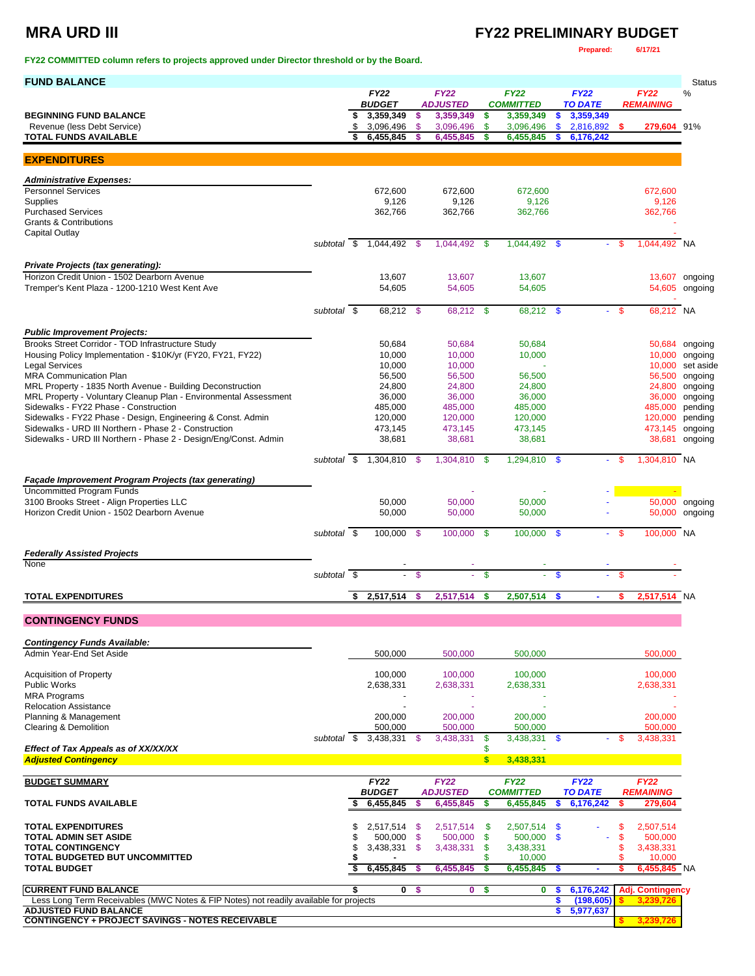### **MRA URD III FY22 PRELIMINARY BUDGET**

**FY22 COMMITTED column refers to projects approved under Director threshold or by the Board.** 

### **Prepared: 6/17/21**

| <b>FUND BALANCE</b>                                                                                                   |             |                                  |               |                              |               |                               |          |                             |          |                          | <b>Status</b>                      |
|-----------------------------------------------------------------------------------------------------------------------|-------------|----------------------------------|---------------|------------------------------|---------------|-------------------------------|----------|-----------------------------|----------|--------------------------|------------------------------------|
|                                                                                                                       |             | <b>FY22</b>                      |               | <b>FY22</b>                  |               | <b>FY22</b>                   |          | <b>FY22</b>                 |          | <b>FY22</b>              | %                                  |
| <b>BEGINNING FUND BALANCE</b>                                                                                         |             | \$<br><b>BUDGET</b><br>3,359,349 | \$            | <b>ADJUSTED</b><br>3,359,349 | \$            | <b>COMMITTED</b><br>3,359,349 | \$       | <b>TO DATE</b><br>3,359,349 |          | <b>REMAINING</b>         |                                    |
| Revenue (less Debt Service)                                                                                           |             | \$<br>3,096,496                  | \$            | 3,096,496                    | \$            | 3,096,496                     | \$       | 2,816,892 \$                |          | 279,604 91%              |                                    |
| <b>TOTAL FUNDS AVAILABLE</b>                                                                                          |             | 6,455,845                        |               | 6,455,845                    | \$            | 6,455,845                     | S        | 6,176,242                   |          |                          |                                    |
| <b>EXPENDITURES</b>                                                                                                   |             |                                  |               |                              |               |                               |          |                             |          |                          |                                    |
|                                                                                                                       |             |                                  |               |                              |               |                               |          |                             |          |                          |                                    |
| <b>Administrative Expenses:</b><br><b>Personnel Services</b>                                                          |             | 672,600                          |               | 672,600                      |               | 672,600                       |          |                             |          | 672,600                  |                                    |
| Supplies                                                                                                              |             | 9,126                            |               | 9,126                        |               | 9,126                         |          |                             |          | 9,126                    |                                    |
| <b>Purchased Services</b><br><b>Grants &amp; Contributions</b>                                                        |             | 362,766                          |               | 362,766                      |               | 362,766                       |          |                             |          | 362,766                  |                                    |
| Capital Outlay                                                                                                        |             |                                  |               |                              |               |                               |          |                             |          |                          |                                    |
|                                                                                                                       |             | subtotal \$ 1,044,492 \$         |               | 1,044,492 \$                 |               | 1,044,492 \$                  |          |                             | \$       | 1.044.492 NA             |                                    |
| Private Projects (tax generating):                                                                                    |             |                                  |               |                              |               |                               |          |                             |          |                          |                                    |
| Horizon Credit Union - 1502 Dearborn Avenue                                                                           |             | 13,607                           |               | 13,607                       |               | 13,607                        |          |                             |          |                          | 13,607 ongoing                     |
| Tremper's Kent Plaza - 1200-1210 West Kent Ave                                                                        |             | 54,605                           |               | 54,605                       |               | 54,605                        |          |                             |          |                          | 54,605 ongoing                     |
|                                                                                                                       | subtotal \$ |                                  |               |                              |               |                               |          |                             | \$       | 68,212 NA                |                                    |
|                                                                                                                       |             | 68,212 \$                        |               | 68,212 \$                    |               | 68,212 \$                     |          | ÷.                          |          |                          |                                    |
| <b>Public Improvement Projects:</b>                                                                                   |             |                                  |               |                              |               |                               |          |                             |          |                          |                                    |
| Brooks Street Corridor - TOD Infrastructure Study                                                                     |             | 50,684                           |               | 50,684                       |               | 50,684                        |          |                             |          |                          | 50,684 ongoing                     |
| Housing Policy Implementation - \$10K/yr (FY20, FY21, FY22)<br>Legal Services                                         |             | 10,000<br>10,000                 |               | 10,000<br>10,000             |               | 10,000                        |          |                             |          |                          | 10,000 ongoing<br>10,000 set aside |
| MRA Communication Plan                                                                                                |             | 56,500                           |               | 56,500                       |               | 56,500                        |          |                             |          |                          | 56,500 ongoing                     |
| MRL Property - 1835 North Avenue - Building Deconstruction                                                            |             | 24,800                           |               | 24,800                       |               | 24,800                        |          |                             |          |                          | 24,800 ongoing                     |
| MRL Property - Voluntary Cleanup Plan - Environmental Assessment                                                      |             | 36,000                           |               | 36,000                       |               | 36,000                        |          |                             |          |                          | 36,000 ongoing                     |
| Sidewalks - FY22 Phase - Construction<br>Sidewalks - FY22 Phase - Design, Engineering & Const. Admin                  |             | 485,000<br>120,000               |               | 485,000<br>120,000           |               | 485,000<br>120,000            |          |                             |          | 485,000<br>120,000       | pending<br>pending                 |
| Sidewalks - URD III Northern - Phase 2 - Construction                                                                 |             | 473,145                          |               | 473,145                      |               | 473,145                       |          |                             |          | 473,145 ongoing          |                                    |
| Sidewalks - URD III Northern - Phase 2 - Design/Eng/Const. Admin                                                      |             | 38,681                           |               | 38,681                       |               | 38,681                        |          |                             |          | 38,681                   | ongoing                            |
|                                                                                                                       | subtotal \$ | 1,304,810                        | -\$           | 1,304,810                    | \$            | 1,294,810                     | -\$      | $\sim$                      | \$       | 1,304,810 NA             |                                    |
|                                                                                                                       |             |                                  |               |                              |               |                               |          |                             |          |                          |                                    |
| <b>Façade Improvement Program Projects (tax generating)</b><br><b>Uncommitted Program Funds</b>                       |             |                                  |               |                              |               |                               |          |                             |          |                          |                                    |
| 3100 Brooks Street - Align Properties LLC                                                                             |             | 50,000                           |               | 50,000                       |               | 50,000                        |          |                             |          |                          | 50,000 ongoing                     |
| Horizon Credit Union - 1502 Dearborn Avenue                                                                           |             | 50,000                           |               | 50,000                       |               | 50,000                        |          |                             |          |                          | 50,000 ongoing                     |
|                                                                                                                       | subtotal \$ | 100,000 \$                       |               | 100,000                      | - \$          | $100,000$ \$                  |          |                             | $-$ \$   | 100,000 NA               |                                    |
|                                                                                                                       |             |                                  |               |                              |               |                               |          |                             |          |                          |                                    |
| <b>Federally Assisted Projects</b><br>None                                                                            |             |                                  |               |                              |               |                               |          |                             |          |                          |                                    |
|                                                                                                                       | subtotal \$ |                                  | \$            |                              | $\mathbf{\$}$ |                               | \$       |                             | \$       |                          |                                    |
| <b>TOTAL EXPENDITURES</b>                                                                                             |             | \$<br>2,517,514                  | \$            | 2,517,514                    | \$            | 2,507,514                     | \$       |                             | s        | 2,517,514 NA             |                                    |
|                                                                                                                       |             |                                  |               |                              |               |                               |          |                             |          |                          |                                    |
| <b>CONTINGENCY FUNDS</b>                                                                                              |             |                                  |               |                              |               |                               |          |                             |          |                          |                                    |
| <b>Contingency Funds Available:</b>                                                                                   |             |                                  |               |                              |               |                               |          |                             |          |                          |                                    |
| Admin Year-End Set Aside                                                                                              |             | 500,000                          |               | 500,000                      |               | 500,000                       |          |                             |          | 500,000                  |                                    |
|                                                                                                                       |             |                                  |               |                              |               |                               |          |                             |          | 100.000                  |                                    |
| <b>Acquisition of Property</b><br><b>Public Works</b>                                                                 |             | 100,000<br>2,638,331             |               | 100,000<br>2,638,331         |               | 100,000<br>2,638,331          |          |                             |          | 2,638,331                |                                    |
| <b>MRA Programs</b>                                                                                                   |             |                                  |               |                              |               |                               |          |                             |          |                          |                                    |
| <b>Relocation Assistance</b>                                                                                          |             |                                  |               | ä,                           |               |                               |          |                             |          |                          |                                    |
| Planning & Management<br><b>Clearing &amp; Demolition</b>                                                             |             | 200,000<br>500,000               |               | 200,000<br>500,000           |               | 200,000<br>500,000            |          |                             |          | 200,000<br>500,000       |                                    |
|                                                                                                                       | subtotal \$ | 3,438,331                        | - S           | 3,438,331                    | \$            | 3,438,331 \$                  |          |                             | S        | 3,438,331                |                                    |
| Effect of Tax Appeals as of XX/XX/XX                                                                                  |             |                                  |               |                              | \$            |                               |          |                             |          |                          |                                    |
| <b>Adjusted Contingency</b>                                                                                           |             |                                  |               |                              | \$            | 3,438,331                     |          |                             |          |                          |                                    |
| <b>BUDGET SUMMARY</b>                                                                                                 |             | <b>FY22</b>                      |               | <b>FY22</b>                  |               | <b>FY22</b>                   |          | <b>FY22</b>                 |          | <b>FY22</b>              |                                    |
|                                                                                                                       |             | <b>BUDGET</b>                    |               | <b>ADJUSTED</b>              |               | <b>COMMITTED</b>              |          | <b>TO DATE</b>              |          | <b>REMAINING</b>         |                                    |
| <b>TOTAL FUNDS AVAILABLE</b>                                                                                          |             | 6,455,845                        | s             | 6,455,845                    | \$            | 6,455,845                     | s        | 6,176,242                   | s        | 279,604                  |                                    |
| <b>TOTAL EXPENDITURES</b>                                                                                             |             | \$<br>2,517,514 \$               |               | 2,517,514                    | -\$           | 2,507,514 \$                  |          |                             | \$       | 2,507,514                |                                    |
| <b>TOTAL ADMIN SET ASIDE</b>                                                                                          |             | \$<br>500,000                    | $\mathcal{S}$ | 500,000                      | \$            | 500,000                       | - \$     |                             | \$       | 500,000                  |                                    |
| <b>TOTAL CONTINGENCY</b>                                                                                              |             | \$<br>3,438,331                  | -\$           | 3,438,331                    | \$            | 3,438,331                     |          |                             | \$       | 3,438,331                |                                    |
| TOTAL BUDGETED BUT UNCOMMITTED<br><b>TOTAL BUDGET</b>                                                                 |             | 6,455,845                        | - 5           | 6,455,845                    | \$<br>\$      | 10,000<br>6,455,845           |          |                             | \$<br>\$ | 10,000<br>$6,455,845$ NA |                                    |
|                                                                                                                       |             |                                  |               |                              |               |                               | -5       |                             |          |                          |                                    |
| <b>CURRENT FUND BALANCE</b>                                                                                           |             | $\mathbf 0$                      | -\$           | 0                            | \$            | 0                             | s        | 6,176,242                   |          | <b>Adj. Contingency</b>  |                                    |
| Less Long Term Receivables (MWC Notes & FIP Notes) not readily available for projects<br><b>ADJUSTED FUND BALANCE</b> |             |                                  |               |                              |               |                               | \$<br>\$ | (198, 605)<br>5,977,637     |          | 3,239,726                |                                    |
| <b>CONTINGENCY + PROJECT SAVINGS - NOTES RECEIVABLE</b>                                                               |             |                                  |               |                              |               |                               |          |                             |          | 3,239,726                |                                    |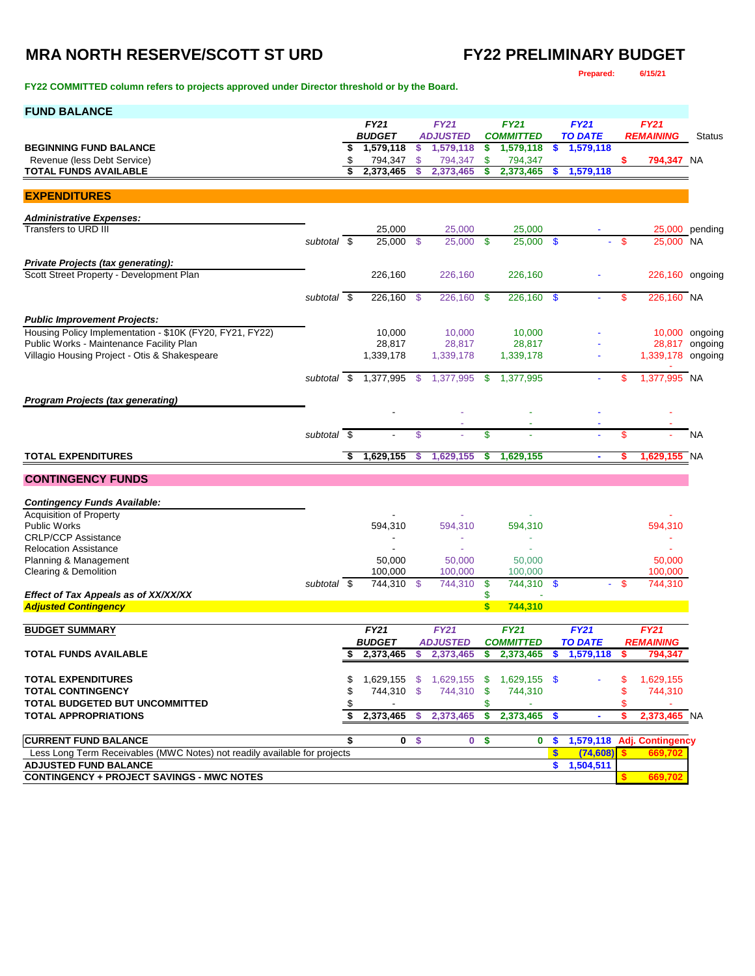**FY22 COMMITTED column refers to projects approved under Director threshold or by the Board.** 

**Prepared: 6/15/21**

| <b>FUND BALANCE</b>                                                                                  |             |      |                            |      |                              |     |                               |              |                             |      |                         |                                  |
|------------------------------------------------------------------------------------------------------|-------------|------|----------------------------|------|------------------------------|-----|-------------------------------|--------------|-----------------------------|------|-------------------------|----------------------------------|
|                                                                                                      |             |      | <b>FY21</b>                |      | <b>FY21</b>                  |     | <b>FY21</b>                   |              | <b>FY21</b>                 |      | <b>FY21</b>             |                                  |
| <b>BEGINNING FUND BALANCE</b>                                                                        |             | \$   | <b>BUDGET</b><br>1,579,118 | \$   | <b>ADJUSTED</b><br>1,579,118 | \$  | <b>COMMITTED</b><br>1,579,118 | \$           | <b>TO DATE</b><br>1,579,118 |      | <b>REMAINING</b>        | <b>Status</b>                    |
| Revenue (less Debt Service)                                                                          |             | \$   | 794,347                    | \$   | 794,347                      | \$  | 794,347                       |              |                             | \$   | 794,347 NA              |                                  |
| <b>TOTAL FUNDS AVAILABLE</b>                                                                         |             |      | 2,373,465                  | S    | 2,373,465                    | \$  | 2,373,465                     | \$           | 1,579,118                   |      |                         |                                  |
| <b>EXPENDITURES</b>                                                                                  |             |      |                            |      |                              |     |                               |              |                             |      |                         |                                  |
| <b>Administrative Expenses:</b>                                                                      |             |      |                            |      |                              |     |                               |              |                             |      |                         |                                  |
| Transfers to URD III                                                                                 |             |      | 25,000                     |      | 25,000                       |     | 25,000                        |              |                             |      |                         | $25,000$ pending                 |
|                                                                                                      | subtotal \$ |      | 25,000                     | \$   | 25,000 \$                    |     | 25,000 \$                     |              |                             | -\$  | 25,000 NA               |                                  |
| Private Projects (tax generating):                                                                   |             |      |                            |      |                              |     |                               |              |                             |      |                         |                                  |
| Scott Street Property - Development Plan                                                             |             |      | 226,160                    |      | 226,160                      |     | 226,160                       |              |                             |      | 226,160 ongoing         |                                  |
|                                                                                                      | subtotal \$ |      | 226,160                    | -\$  | 226,160                      | -\$ | 226,160                       | -\$          |                             | \$   | 226,160 NA              |                                  |
|                                                                                                      |             |      |                            |      |                              |     |                               |              |                             |      |                         |                                  |
| <b>Public Improvement Projects:</b>                                                                  |             |      |                            |      |                              |     |                               |              |                             |      |                         |                                  |
| Housing Policy Implementation - \$10K (FY20, FY21, FY22)<br>Public Works - Maintenance Facility Plan |             |      | 10,000<br>28,817           |      | 10,000<br>28,817             |     | 10,000<br>28,817              |              |                             |      |                         | 10,000 ongoing<br>28,817 ongoing |
| Villagio Housing Project - Otis & Shakespeare                                                        |             |      | 1,339,178                  |      | 1,339,178                    |     | 1,339,178                     |              |                             |      | 1,339,178 ongoing       |                                  |
|                                                                                                      |             |      |                            |      |                              |     |                               |              |                             |      |                         |                                  |
|                                                                                                      | subtotal \$ |      | 1,377,995                  | - \$ | 1,377,995                    | -\$ | 1,377,995                     |              |                             | S    | 1,377,995 NA            |                                  |
| <b>Program Projects (tax generating)</b>                                                             |             |      |                            |      |                              |     |                               |              |                             |      |                         |                                  |
|                                                                                                      |             |      |                            |      |                              |     |                               |              |                             |      |                         |                                  |
|                                                                                                      | subtotal    | - \$ |                            | \$   |                              | \$  |                               |              |                             | \$   |                         | <b>NA</b>                        |
|                                                                                                      |             |      |                            |      |                              |     |                               |              |                             |      |                         |                                  |
| <b>TOTAL EXPENDITURES</b>                                                                            |             | \$   | 1,629,155                  | s    | 1,629,155                    | \$  | 1,629,155                     |              | ٠                           |      | 1,629,155 NA            |                                  |
| <b>CONTINGENCY FUNDS</b>                                                                             |             |      |                            |      |                              |     |                               |              |                             |      |                         |                                  |
|                                                                                                      |             |      |                            |      |                              |     |                               |              |                             |      |                         |                                  |
| <b>Contingency Funds Available:</b><br><b>Acquisition of Property</b>                                |             |      |                            |      |                              |     |                               |              |                             |      |                         |                                  |
| <b>Public Works</b>                                                                                  |             |      | 594,310                    |      | 594,310                      |     | 594,310                       |              |                             |      | 594,310                 |                                  |
| <b>CRLP/CCP Assistance</b>                                                                           |             |      |                            |      |                              |     | ٠                             |              |                             |      | ٠                       |                                  |
| <b>Relocation Assistance</b>                                                                         |             |      |                            |      |                              |     |                               |              |                             |      |                         |                                  |
| Planning & Management<br>Clearing & Demolition                                                       |             |      | 50,000<br>100,000          |      | 50,000<br>100,000            |     | 50,000<br>100,000             |              |                             |      | 50,000<br>100,000       |                                  |
|                                                                                                      | subtotal \$ |      | 744,310 \$                 |      | 744,310                      | \$  | 744,310                       | - \$         |                             | - \$ | 744,310                 |                                  |
| Effect of Tax Appeals as of XX/XX/XX                                                                 |             |      |                            |      |                              | \$  |                               |              |                             |      |                         |                                  |
| <b>Adjusted Contingency</b>                                                                          |             |      |                            |      |                              | \$  | 744,310                       |              |                             |      |                         |                                  |
| <b>BUDGET SUMMARY</b>                                                                                |             |      | <b>FY21</b>                |      | <b>FY21</b>                  |     | <b>FY21</b>                   |              | <b>FY21</b>                 |      | <b>FY21</b>             |                                  |
|                                                                                                      |             |      | <b>BUDGET</b>              |      | <b>ADJUSTED</b>              |     | <b>COMMITTED</b>              |              | <b>TO DATE</b>              |      | <b>REMAINING</b>        |                                  |
| TOTAL FUNDS AVAILABLE                                                                                |             | S    | 2,373,465                  | S    | 2,373,465                    | \$  | 2,373,465                     | \$           | 1,579,118                   | s    | 794,347                 |                                  |
| <b>TOTAL EXPENDITURES</b>                                                                            |             | \$   | 1,629,155                  | - \$ | 1,629,155                    | -S  | $1,629,155$ \$                |              |                             | \$   | 1,629,155               |                                  |
| <b>TOTAL CONTINGENCY</b>                                                                             |             |      | 744,310 \$                 |      | 744,310                      | \$  | 744,310                       |              |                             | \$   | 744,310                 |                                  |
| <b>TOTAL BUDGETED BUT UNCOMMITTED</b>                                                                |             |      |                            |      |                              | \$  |                               |              |                             | \$   |                         |                                  |
| <b>TOTAL APPROPRIATIONS</b>                                                                          |             | \$   | 2,373,465                  | s    | 2,373,465                    | \$  | 2,373,465                     | <b>S</b>     | $\blacksquare$              | s    | 2,373,465 NA            |                                  |
| <b>CURRENT FUND BALANCE</b>                                                                          |             | \$   | 0                          | \$   | 0                            | \$  | $\mathbf{0}$                  | \$           | 1,579,118                   |      | <b>Adj. Contingency</b> |                                  |
| Less Long Term Receivables (MWC Notes) not readily available for projects                            |             |      |                            |      |                              |     |                               | $\mathbf{s}$ | (74, 608)                   |      | 669,702                 |                                  |
| <b>ADJUSTED FUND BALANCE</b>                                                                         |             |      |                            |      |                              |     |                               |              | \$1,504,511                 |      |                         |                                  |
| <b>CONTINGENCY + PROJECT SAVINGS - MWC NOTES</b>                                                     |             |      |                            |      |                              |     |                               |              |                             |      | 669.70                  |                                  |